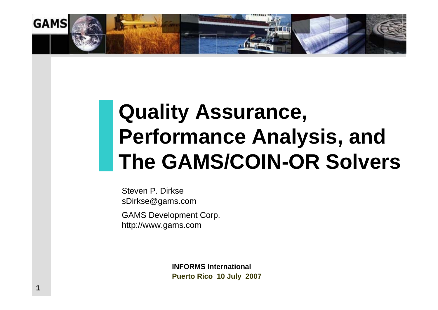

# **Quality Assurance, Performance Analysis, and The GAMS/COIN-OR Solvers**

Steven P. DirksesDirkse@gams.com

**1**

GAMS Development Corp. http://www.gams.com

> **INFORMS InternationalPuerto Rico 10 July 2007**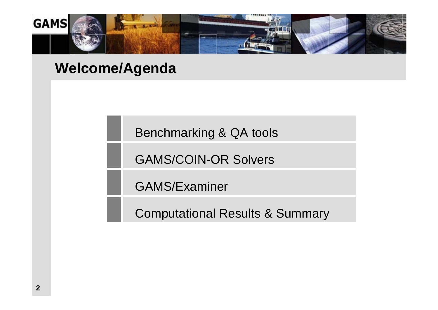

## **Welcome/Agenda**

Benchmarking & QA tools

GAMS/COIN-OR Solvers

GAMS/Examiner

Computational Results & Summary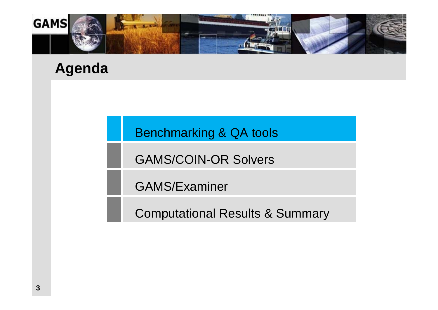

## **Agenda**

Benchmarking & QA tools

GAMS/COIN-OR Solvers

GAMS/Examiner

Computational Results & Summary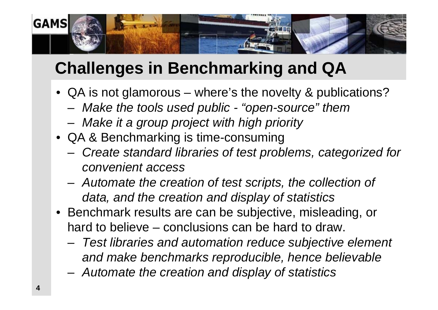

# **Challenges in Benchmarking and QA**

- QA is not glamorous where's the novelty & publications?
	- –*Make the tools used public - "open-source" them*
	- *Make it a group project with high priority*
- QA & Benchmarking is time-consuming
	- – *Create standard libraries of test problems, categorized for convenient access*
	- *Automate the creation of test scripts, the collection of data, and the creation and display of statistics*
- Benchmark results are can be subjective, misleading, or hard to believe – conclusions can be hard to draw.
	- – *Test libraries and automation reduce subjective element and make benchmarks reproducible, hence believable*
	- *Automate the creation and display of statistics*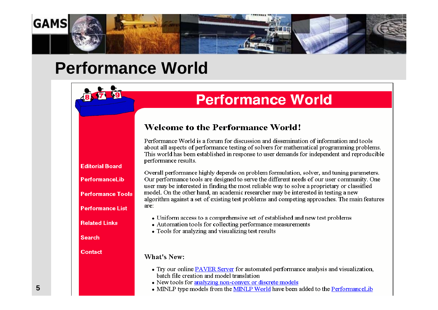

## **Performance World**

## **Performance World**

**Welcome to the Performance World!** 

Performance World is a forum for discussion and dissemination of information and tools about all aspects of performance testing of solvers for mathematical programming problems. This world has been established in response to user demands for independent and reproducible performance results.

Overall performance highly depends on problem formulation, solver, and tuning parameters. Our performance tools are designed to serve the different needs of our user community. One user may be interested in finding the most reliable way to solve a proprietary or classified model. On the other hand, an academic researcher may be interested in testing a new algorithm against a set of existing test problems and competing approaches. The main features are:

- Uniform access to a comprehensive set of established and new test problems
- Automation tools for collecting performance measurements
- Tools for analyzing and visualizing test results

#### **What's New:**

- Try our online PAVER Server for automated performance analysis and visualization, batch file creation and model translation
- New tools for analyzing non-convex or discrete models
- MINLP type models from the MINLP World have been added to the PerformanceLib
- **Editorial Board** PerformanceLib **Performance Tools Performance List Related Links Search** Contact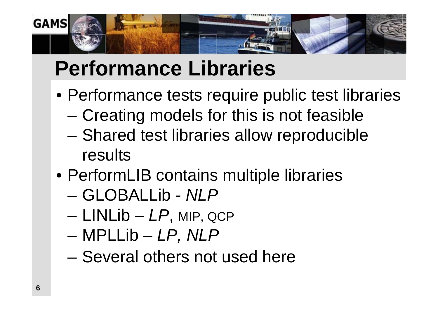

# **Performance Libraries**

- Performance tests require public test libraries
	- –– Creating models for this is not feasible
	- –– Shared test libraries allow reproducible results
- PerformLIB contains multiple libraries
	- –GLOBALLib - *NLP*
	- –LINLib – *LP*, MIP, QCP
	- –MPLLib – *LP, NLP*
	- –– Several others not used here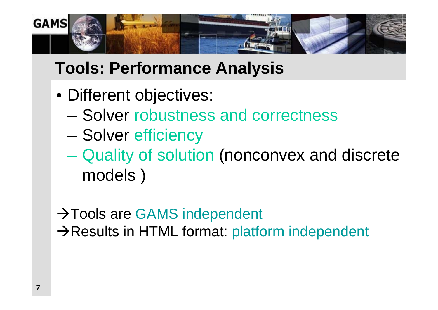

# **Tools: Performance Analysis**

- Different objectives:
	- –Solver robustness and correctness
	- –Solver efficiency
	- Quality of solution (nonconvex and discrete models )
- $\rightarrow$  Tools are GAMS independent  $\rightarrow$ Results in HTML format: platform independent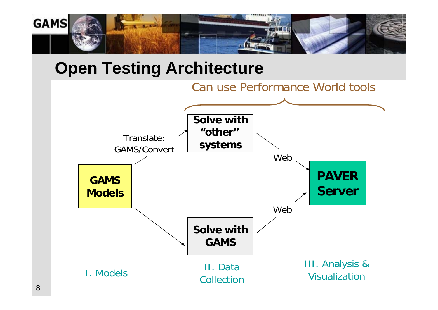

## **Open Testing Architecture**

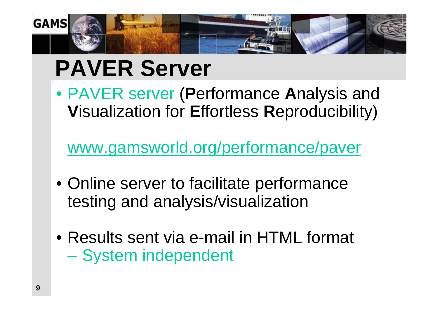

# **PAVER Server**

• PAVER server (**P**erformance **A**nalysis and **V**isualization for **E**ffortless **R**eproducibility)

[www.gamsworld.org/performance/paver](http://www.gamsworld.org/performance/paver)

- Online server to facilitate performance testing and analysis/visualization
- Results sent via e-mail in HTML format – System independent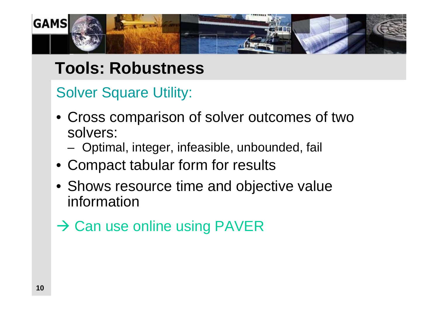

## **Tools: Robustness**

## Solver Square Utility:

- Cross comparison of solver outcomes of two solvers:
	- –Optimal, integer, infeasible, unbounded, fail
- Compact tabular form for results
- Shows resource time and objective value information
- $\rightarrow$  Can use online using PAVER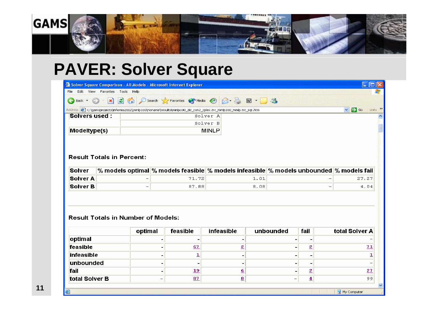

# **PAVER: Solver Square**

|                                                                          |                                |                          |  | Solver Square Comparison - All Models - Microsoft Internet Explorer |                                                                                                                        |               |                          |                         |                          |                              |
|--------------------------------------------------------------------------|--------------------------------|--------------------------|--|---------------------------------------------------------------------|------------------------------------------------------------------------------------------------------------------------|---------------|--------------------------|-------------------------|--------------------------|------------------------------|
| File                                                                     | Edit View Favorites Tools Help |                          |  |                                                                     |                                                                                                                        |               |                          |                         |                          |                              |
| $\leftarrow$ Back $\sim$                                                 | $ x $ 2 0                      |                          |  |                                                                     | Search <b>C</b> Favorites Media <b>@</b> 2 &                                                                           | $\boxed{w}$ . | $-28$                    |                         |                          |                              |
|                                                                          |                                |                          |  |                                                                     | Address (2) C:\gamsprojects\informs2002\minlp100\noname\results\minlp100_dic_con2_cplex.trc_minlp100_minlp.trc_sqr.htm |               |                          |                         |                          | Links >><br>$\vee$ $\Box$ Go |
| <b>Solvers used:</b>                                                     |                                |                          |  |                                                                     | Solver A                                                                                                               |               |                          |                         |                          |                              |
|                                                                          |                                |                          |  |                                                                     | Solver B                                                                                                               |               |                          |                         |                          |                              |
| Modeltype(s)                                                             |                                |                          |  |                                                                     | <b>MINLP</b>                                                                                                           |               |                          |                         |                          |                              |
| Solver<br>Solver A                                                       |                                |                          |  | 71.72                                                               | % models optimal $\%$ models feasible $\%$ models infeasible $\%$ models unbounded $\%$ models fail                    | 1.01          |                          |                         |                          | 27.27                        |
|                                                                          |                                |                          |  |                                                                     |                                                                                                                        |               |                          |                         |                          |                              |
|                                                                          |                                | $\overline{\phantom{0}}$ |  |                                                                     |                                                                                                                        |               |                          |                         |                          |                              |
| Solver B                                                                 |                                |                          |  | 87.88                                                               |                                                                                                                        | 8.08          |                          |                         | $\overline{\phantom{0}}$ | 4.04                         |
| <b>Result Totals in Number of Models:</b><br>total Solver A<br>unbounded |                                |                          |  |                                                                     |                                                                                                                        |               |                          |                         |                          |                              |
|                                                                          |                                | optimal                  |  | feasible                                                            | <b>infeasible</b>                                                                                                      |               |                          | fail                    |                          |                              |
| optimal                                                                  |                                |                          |  |                                                                     |                                                                                                                        |               | $\overline{\phantom{a}}$ |                         |                          |                              |
| feasible                                                                 |                                |                          |  | 67                                                                  | $\overline{\mathbf{2}}$                                                                                                |               | -                        | $\overline{\mathbf{2}}$ |                          | 71                           |

|                   | optimal | feasible  | <b>infeasible</b>       | unbounded | fail                     | total Solver A |
|-------------------|---------|-----------|-------------------------|-----------|--------------------------|----------------|
| optimal           |         |           |                         |           |                          |                |
| feasible          |         | <u>67</u> |                         |           | 2                        | 71             |
| <b>infeasible</b> |         |           |                         |           | ۰                        |                |
| <b>unbounded</b>  |         |           |                         |           | $\overline{\phantom{0}}$ |                |
| fail              |         | 19        | ₫                       |           | 2<br>=                   | 27             |
| total Solver B    |         | 87        | $\overline{\mathbf{g}}$ |           | 4<br>_                   | 99             |
|                   |         |           |                         |           |                          |                |

图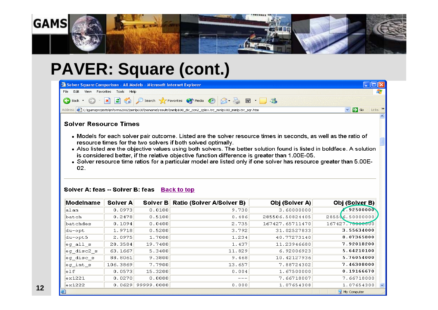

# **PAVER: Square (cont.)**

| Solver Square Comparison - All Models - Microsoft Internet Explorer                                                                |                               |
|------------------------------------------------------------------------------------------------------------------------------------|-------------------------------|
| View Favorites Tools Help<br>File Edit                                                                                             |                               |
| OBack · ⊙ · x 2 → O Search ☆ Favorites ◆ Media ④ ② 晏 國 · ■ 3                                                                       |                               |
| Address <mark>@</mark> C:\gamsprojects\informs2002\minlp100\noname\results\minlp100_dic_con2_cplex.trc_minlp100_minlp.trc_sqr.htm_ | $\vee$ $\rightarrow$ Go Links |
|                                                                                                                                    | A                             |
| <b>Solver Resource Times</b>                                                                                                       |                               |

- . Models for each solver pair outcome. Listed are the solver resource times in seconds, as well as the ratio of resource times for the two solvers if both solved optimally.
- Also listed are the objective values using both solvers. The better solution found is listed in boldface. A solution is considered better, if the relative objective function difference is greater than 1.00E-05.
- . Solver resource time ratios for a particular model are listed only if one solver has resource greater than 5.00E-02.

| <b>Modelname</b> | Solver A |            | Solver B Ratio (Solver A/Solver B) | Obj (Solver A)  | Obj (Solver B)        |
|------------------|----------|------------|------------------------------------|-----------------|-----------------------|
| alan             | 0.0973   | 0.0100     | 9.730                              | 3.60000000      | .92500000             |
| batch            | 0.2478   | 0.5100     | 0.486                              | 285506.50824405 | $2855 \, 66.50000000$ |
| batchdes         | 0.1094   | 0.0400     | 2.735                              | 167427.65711470 | 167427.70000000       |
| du-opt           | 1.9718   | 0.5200     | 3.792                              | 31.02527833     | 3.55634000            |
| du-opt5          | 2.0975   | 1.7000     | 1.234                              | 40.77273140     | 8.07365800            |
| $eq$ all $s$     | 28.3584  | 19.7400    | 1.437                              | 11.23946680     | 7.92018200            |
| eg disc2 s       | 63.1667  | 5.3400     | 11.829                             | 6.92006923      | 5.64210100            |
| eg disc s        | 88.8061  | 9.3800     | 9.468                              | 10.42127936     | 5.76054000            |
| $eq$ int $s$     | 106.3869 | 7.7900     | 13.657                             | 7.88724302      | 7.46308000            |
| e1f              | 0.0573   | 15.3200    | 0.004                              | 1.67500000      | 0.19166670            |
| ex1221           | 0.0270   | 0.0000     | $---$                              | 7.66718007      | 7.66718000            |
| ex1222           | 0.0629   | 99999.0000 | 0.000                              | 1.07654308      | 1.07654300            |

#### Solver A: feas -- Solver B: feas Back to top

My Computer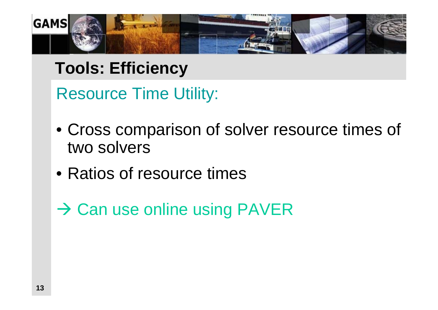

# **Tools: Efficiency**

Resource Time Utility:

- Cross comparison of solver resource times of two solvers
- Ratios of resource times

 $\rightarrow$  Can use online using PAVER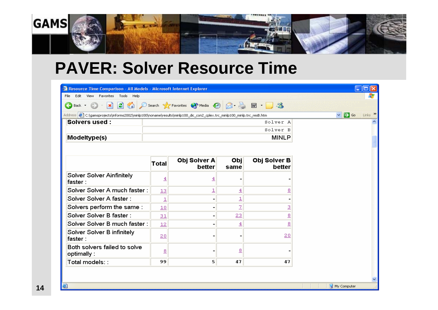

## **PAVER: Solver Resource Time**

| <sup>2</sup> Resource Time Comparison - All Models - Microsoft Internet Explorer                                        |                         |                                    |                         |                             |                                       |
|-------------------------------------------------------------------------------------------------------------------------|-------------------------|------------------------------------|-------------------------|-----------------------------|---------------------------------------|
| Edit View Favorites Tools Help<br>File                                                                                  |                         |                                    |                         |                             |                                       |
| Œ<br>Back *                                                                                                             |                         | x 3 Search & Favorites @ Media @ 3 |                         | $\boxed{12}$ $\frac{12}{2}$ |                                       |
| Address (2) C:\gamsprojects\informs2002\minlp100\noname\results\minlp100_dic_con2_cplex.trc_minlp100_minlp.trc_resB.htm |                         |                                    |                         |                             | Links >><br>$\Box$ Go<br>$\checkmark$ |
| <b>Solvers used:</b>                                                                                                    |                         |                                    |                         | Solver A                    |                                       |
|                                                                                                                         |                         |                                    |                         | Solver B                    |                                       |
| Modeltype(s)                                                                                                            |                         |                                    |                         | <b>MINLP</b>                |                                       |
|                                                                                                                         |                         |                                    |                         |                             |                                       |
|                                                                                                                         | <b>Total</b>            | Obj Solver A<br>better             | Obj<br>same             | Obj Solver B<br>better      |                                       |
| Solver Solver Ainfinitely<br>faster:                                                                                    | $\overline{4}$          | $\overline{4}$                     |                         |                             |                                       |
| Solver Solver A much faster :                                                                                           | 13                      | $\overline{\mathbf{1}}$            | $\overline{4}$          | 8                           |                                       |
| Solver Solver A faster:                                                                                                 | $\overline{\mathbf{1}}$ | $\blacksquare$                     | $\overline{\mathbf{1}}$ |                             |                                       |
| Solvers perform the same:                                                                                               | 10                      | $\blacksquare$                     | $\overline{2}$          | 3                           |                                       |
| Solver Solver B faster:                                                                                                 | 31                      | $\overline{a}$                     | 23                      | $\overline{\mathbf{g}}$     |                                       |
| Solver Solver B much faster:                                                                                            | 12                      |                                    | $\overline{4}$          | $\overline{8}$              |                                       |
| Solver Solver B infinitely<br>faster:                                                                                   | 20                      |                                    |                         | 20                          |                                       |
| Both solvers failed to solve<br>optimally:                                                                              | $\overline{8}$          |                                    | $^{\circ}$              |                             |                                       |
|                                                                                                                         |                         |                                    |                         |                             |                                       |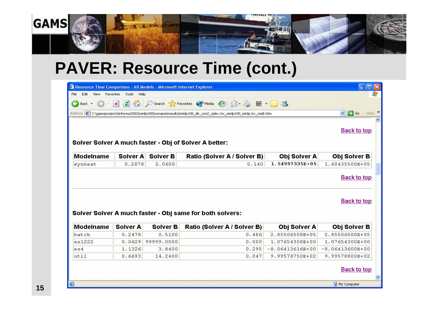

## **PAVER: Resource Time (cont.)**

| Resource Time Comparison - All Models - Microsoft Internet Explorer |                                  |            |                                                                                                                                  |                   | $\Box$ $\times$                              |
|---------------------------------------------------------------------|----------------------------------|------------|----------------------------------------------------------------------------------------------------------------------------------|-------------------|----------------------------------------------|
| File<br>Edit<br>View<br>Favorites                                   | Tools<br>Help                    |            |                                                                                                                                  |                   |                                              |
| €<br>Back -                                                         | 2 <sub>0</sub><br>$ \mathbf{x} $ |            | Search Travorites of Media 8 8 -                                                                                                 | $\boxed{23}$      |                                              |
|                                                                     |                                  |            | Address <sup>2</sup> c:\gamsprojects\informs2002\minlp100\noname\results\minlp100_dic_con2_cplex.trc_minlp100_minlp.trc_resB.htm |                   | Links >><br>$\rightarrow$ Go<br>$\checkmark$ |
|                                                                     |                                  |            |                                                                                                                                  |                   |                                              |
|                                                                     |                                  |            |                                                                                                                                  |                   | <b>Back to top</b>                           |
|                                                                     |                                  |            |                                                                                                                                  |                   |                                              |
|                                                                     |                                  |            | Solver Solver A much faster - Obj of Solver A better:                                                                            |                   |                                              |
| Modelname                                                           | Solver A                         | Solver B   | Ratio (Solver A / Solver B)                                                                                                      | Obj Solver A      | Obj Solver B                                 |
| synheat                                                             | 0.2878                           | 2.0600     | 0.140                                                                                                                            | 1.54997335E+05    | 1.60435500E+05                               |
|                                                                     |                                  |            | Solver Solver A much faster - Obj same for both solvers:                                                                         |                   | <b>Back to top</b>                           |
| Modelname                                                           | Solver A                         | Solver B   | Ratio (Solver A / Solver B)                                                                                                      | Obj Solver A      | Obj Solver B                                 |
| batch                                                               | 0.2478                           | 0.5100     | 0.486                                                                                                                            | 2.85506508E+05    | 2.85506500E+05                               |
| ex1222                                                              | 0.0629                           | 99999.0000 | 0.000                                                                                                                            | 1.07654308E+00    | 1.07654300E+00                               |
| ex4                                                                 | 1.1326                           | 3.8400     | 0.295                                                                                                                            | $-8.06413616E+00$ | $-8.06413600E+00$                            |
| util                                                                | 0.6693                           | 14.2400    | 0.047                                                                                                                            | 9.99578750E+02    | 9.99578800E+02                               |
|                                                                     |                                  |            |                                                                                                                                  |                   | <b>Back to top</b>                           |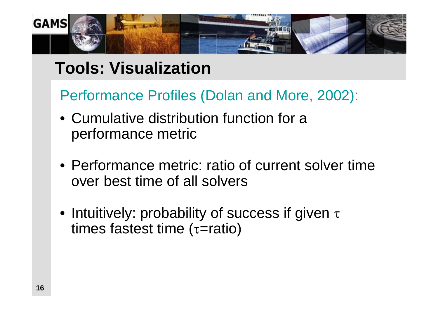

## **Tools: Visualization**

Performance Profiles (Dolan and More, 2002):

- Cumulative distribution function for a performance metric
- Performance metric: ratio of current solver time over best time of all solvers
- Intuitively: probability of success if given  $\tau$ times fastest time ( $\tau$ =ratio)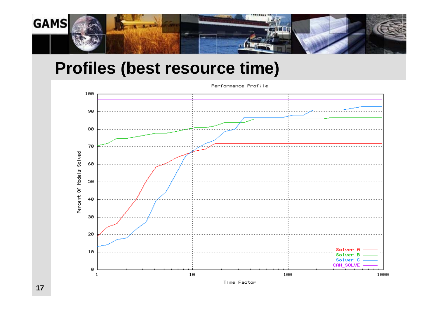

## **Profiles (best resource time)**

Performance Profile



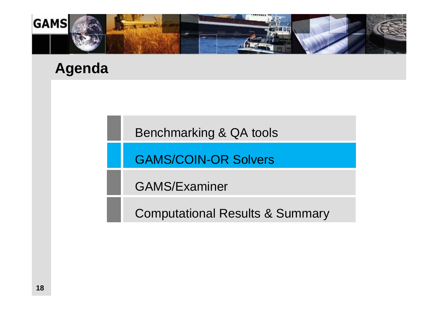

## **Agenda**

Benchmarking & QA tools

GAMS/COIN-OR Solvers

GAMS/Examiner

Computational Results & Summary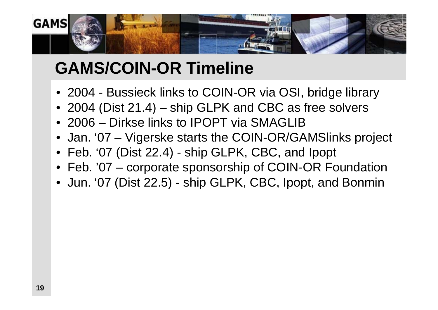

# **GAMS/COIN-OR Timeline**

- 2004 Bussieck links to COIN-OR via OSI, bridge library
- 2004 (Dist 21.4) ship GLPK and CBC as free solvers
- 2006 Dirkse links to IPOPT via SMAGLIB
- Jan. '07 Vigerske starts the COIN-OR/GAMSlinks project
- Feb. '07 (Dist 22.4) ship GLPK, CBC, and Ipopt
- Feb. '07 corporate sponsorship of COIN-OR Foundation
- Jun. '07 (Dist 22.5) ship GLPK, CBC, Ipopt, and Bonmin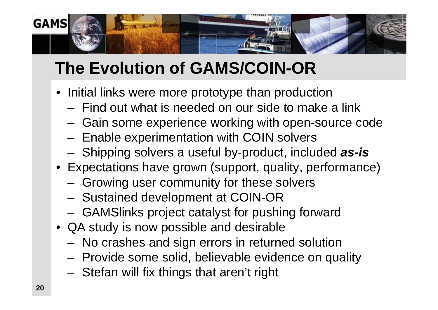

# **The Evolution of GAMS/COIN-OR**

- Initial links were more prototype than production
	- Find out what is needed on our side to make a link
	- Gain some experience working with open-source code
	- $-$  Enable experimentation with COIN solvers
	- –Shipping solvers a useful by-product, included *as-is*
- Expectations have grown (support, quality, performance)
	- Growing user community for these solvers
	- –- Sustained development at COIN-OR
	- GAMSlinks project catalyst for pushing forward
- QA study is now possible and desirable
	- –No crashes and sign errors in returned solution
	- Provide some solid, believable evidence on quality
	- $-$  Stefan will fix things that aren't right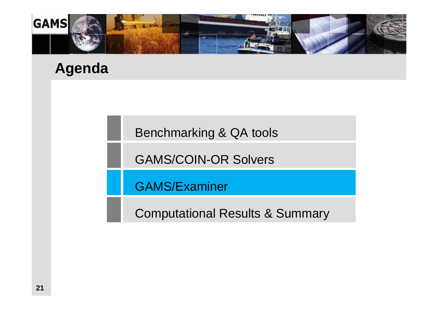

## **Agenda**

Benchmarking & QA tools

GAMS/COIN-OR Solvers

GAMS/Examiner

Computational Results & Summary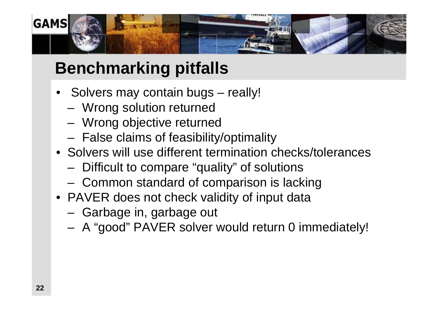

# **Benchmarking pitfalls**

- Solvers may contain bugs really!
	- –Wrong solution returned
	- Wrong objective returned
	- False claims of feasibility/optimality
- Solvers will use different termination checks/tolerances
	- Difficult to compare "quality" of solutions
	- $-$  Common standard of comparison is lacking
- PAVER does not check validity of input data
	- Garbage in, garbage out
	- A "good" PAVER solver would return 0 immediately!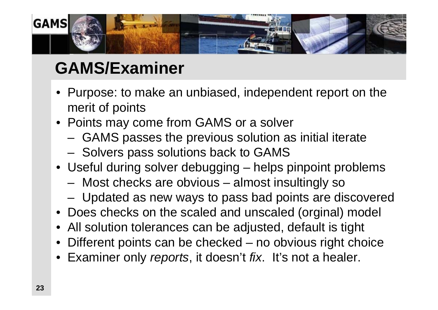

# **GAMS/Examiner**

- Purpose: to make an unbiased, independent report on the merit of points
- Points may come from GAMS or a solver
	- GAMS passes the previous solution as initial iterate
	- – $-$  Solvers pass solutions back to GAMS
- Useful during solver debugging helps pinpoint problems
	- Most checks are obvious almost insultingly so
	- –Updated as new ways to pass bad points are discovered
- Does checks on the scaled and unscaled (orginal) model
- All solution tolerances can be adjusted, default is tight
- •Different points can be checked – no obvious right choice
- Examiner only *reports*, it doesn't *fix*. It's not a healer.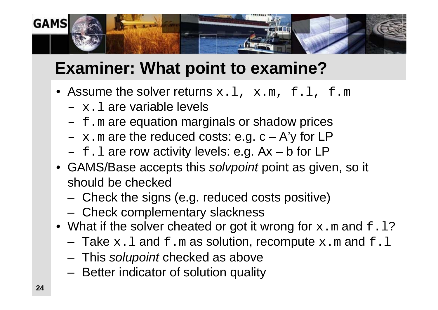

# **Examiner: What point to examine?**

- Assume the solver returns  $x.l$ ,  $x.m$ ,  $f.l$ ,  $f.m$ 
	- $-$  x.1 are variable levels
	- $-$  f.m are equation marginals or shadow prices
	- $x$ .m are the reduced costs: e.g.  $c A'y$  for LP
	- $-$  f.l are row activity levels: e.g.  $Ax b$  for LP
- GAMS/Base accepts this *solvpoint* point as given, so it should be checked
	- –Check the signs (e.g. reduced costs positive)
	- Check complementary slackness
- $\bullet\,$  What if the solver cheated or got it wrong for  $\mathrm{x}$  .  $\mathrm{m}$  and  $\mathrm{f}$  .  $1?$ 
	- $-$  Take  $\ge$  .  $1$  and  $\pm$  .  $\text{m}$  as solution, recompute  $\text{x}$  .  $\text{m}$  and  $\text{f}$  .  $1$
	- This *solupoint* checked as above
	- Better indicator of solution quality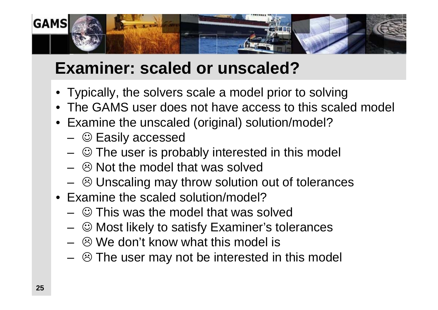

# **Examiner: scaled or unscaled?**

- Typically, the solvers scale a model prior to solving
- The GAMS user does not have access to this scaled model
- Examine the unscaled (original) solution/model?
	- $\, \circledcirc$  Easily accessed
	- $\, \circledcirc$  The user is probably interested in this model
	- – $\, \circledcirc$  Not the model that was solved
	- $\, \circledcirc$  Unscaling may throw solution out of tolerances
- Examine the scaled solution/model?
	- $\, \circledcirc$  This was the model that was solved
	- – $\, \circledcirc$  Most likely to satisfy Examiner's tolerances
	- – $\, \circledcirc$  We don't know what this model is
	- $\, \circledcirc$  The user may not be interested in this model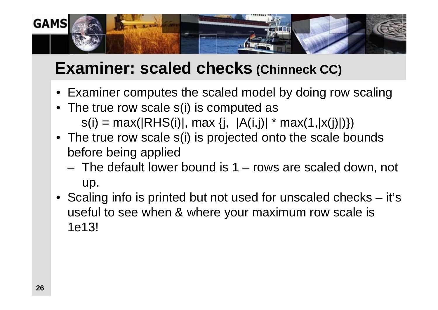

## **Examiner: scaled checks (Chinneck CC)**

- Examiner computes the scaled model by doing row scaling
- The true row scale s(i) is computed as  $s(i) = max(|RHS(i)|, max \{j, |A(i,j)| * max(1, |x(j)|)\})$
- The true row scale s(i) is projected onto the scale bounds before being applied
	- The default lower bound is 1 rows are scaled down, not up.
- Scaling info is printed but not used for unscaled checks it's useful to see when & where your maximum row scale is 1e13!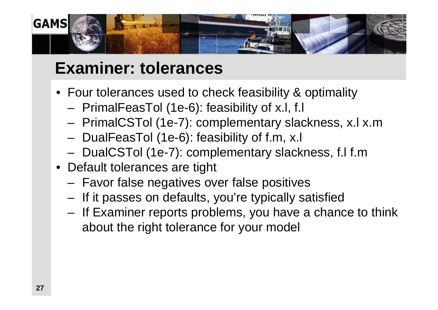

## **Examiner: tolerances**

- Four tolerances used to check feasibility & optimality
	- –PrimalFeasTol (1e-6): feasibility of x.l, f.l
	- PrimalCSTol (1e-7): complementary slackness, x.l x.m
	- DualFeasTol (1e-6): feasibility of f.m, x.l
	- –- DualCSTol (1e-7): complementary slackness, f.l f.m
- Default tolerances are tight
	- Favor false negatives over false positives
	- –– If it passes on defaults, you're typically satisfied
	- If Examiner reports problems, you have a chance to think about the right tolerance for your model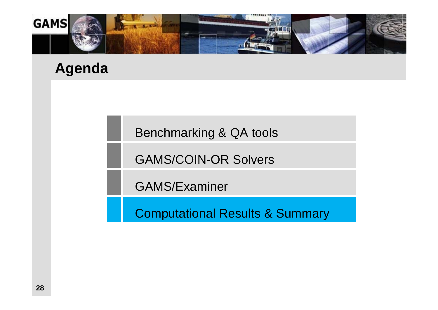

## **Agenda**

Benchmarking & QA tools

GAMS/COIN-OR Solvers

GAMS/Examiner

Computational Results & Summary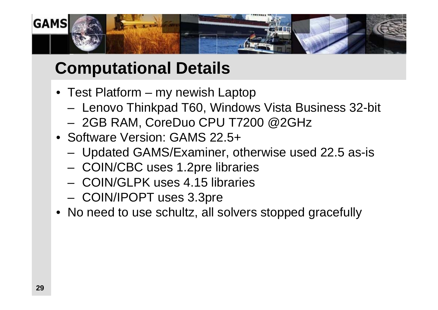

# **Computational Details**

- Test Platform my newish Laptop
	- –– Lenovo Thinkpad T60, Windows Vista Business 32-bit
	- 2GB RAM, CoreDuo CPU T7200 @2GHz
- Software Version: GAMS 22.5+
	- –Updated GAMS/Examiner, otherwise used 22.5 as-is
	- COIN/CBC uses 1.2pre libraries
	- COIN/GLPK uses 4.15 libraries
	- –COIN/IPOPT uses 3.3pre
- No need to use schultz, all solvers stopped gracefully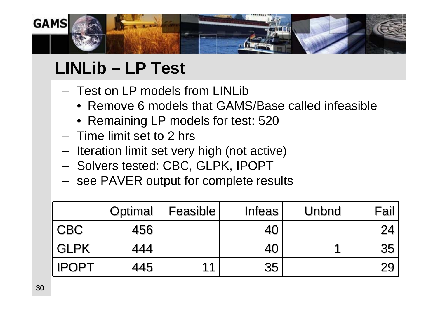

# **LINLib – LP Test**

- Test on LP models from LINLib
	- Remove 6 models that GAMS/Base called infeasible
	- Remaining LP models for test: 520
- Time limit set to 2 hrs
- – $-$  Iteration limit set very high (not active)
- – $-$  Solvers tested: CBC, GLPK, IPOPT
- – $-$  see PAVER output for complete results

|              | Optimal | Feasible | <b>Infeas</b> | Unbnd | Fail |
|--------------|---------|----------|---------------|-------|------|
| <b>CBC</b>   | 456     |          | 40            |       | 24   |
| <b>GLPK</b>  | 444     |          | 40            |       | 35   |
| <b>IPOPT</b> | 445     | 11       | 35            |       | 29   |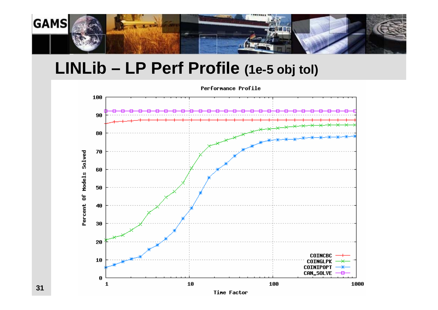

## **LINLib – LP Perf Profile (1e-5 obj tol)**



Time Factor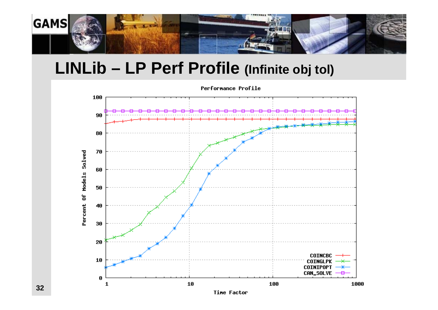

## **LINLib – LP Perf Profile (Infinite obj tol)**



Time Factor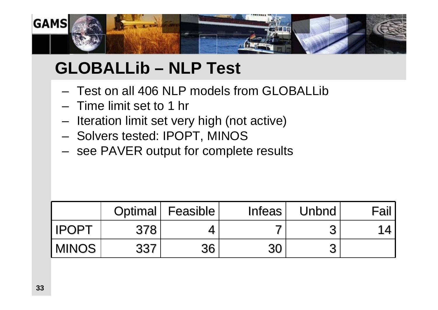

# **GLOBALLib – NLP Test**

- Test on all 406 NLP models from GLOBALLib
- Time limit set to 1 hr
- – $-$  Iteration limit set very high (not active)
- –Solvers tested: IPOPT, MINOS
- –- see PAVER output for complete results

|               |     | Optimal Feasible | <b>Infeas</b> | Unbnd | Fail     |
|---------------|-----|------------------|---------------|-------|----------|
| <b>IIPOPT</b> | 378 |                  |               |       | 1 $\ell$ |
| <b>MINOS</b>  | 337 | 36               | 30            |       |          |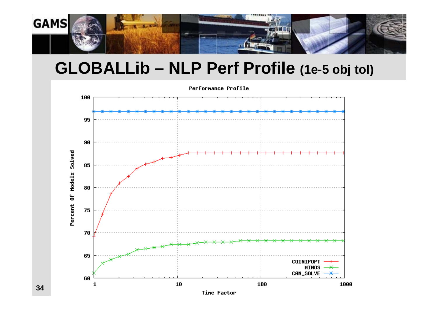

## **GLOBALLib – NLP Perf Profile (1e-5 obj tol)**



**34**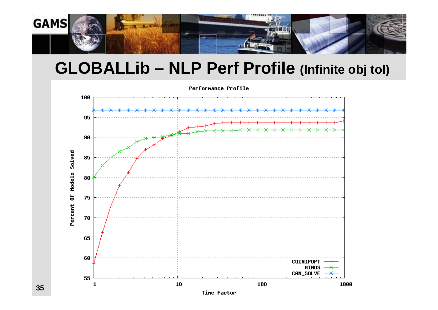

## **GLOBALLib – NLP Perf Profile (Infinite obj tol)**



Time Factor

**35**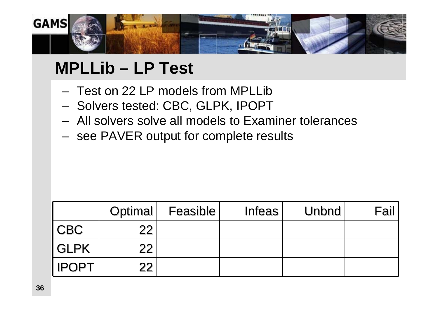

# **MPLLib – LP Test**

- Test on 22 LP models from MPLLib
- – $-$  Solvers tested: CBC, GLPK, IPOPT
- All solvers solve all models to Examiner tolerances
- – $-$  see PAVER output for complete results

|              | Optimal           | <b>Feasible</b> | Infeas | <b>Unbnd</b> | Fail |
|--------------|-------------------|-----------------|--------|--------------|------|
| <b>CBC</b>   | 22                |                 |        |              |      |
| <b>GLPK</b>  | 22 <sub>1</sub>   |                 |        |              |      |
| <b>IPOPT</b> | $22 \overline{)}$ |                 |        |              |      |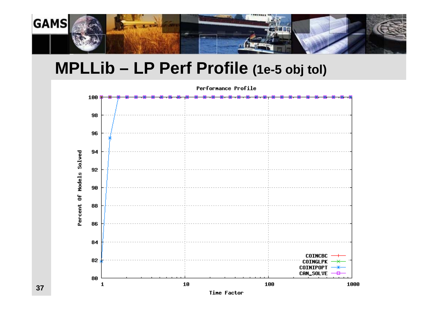

## **MPLLib – LP Perf Profile (1e-5 obj tol)**



Time Factor

1000